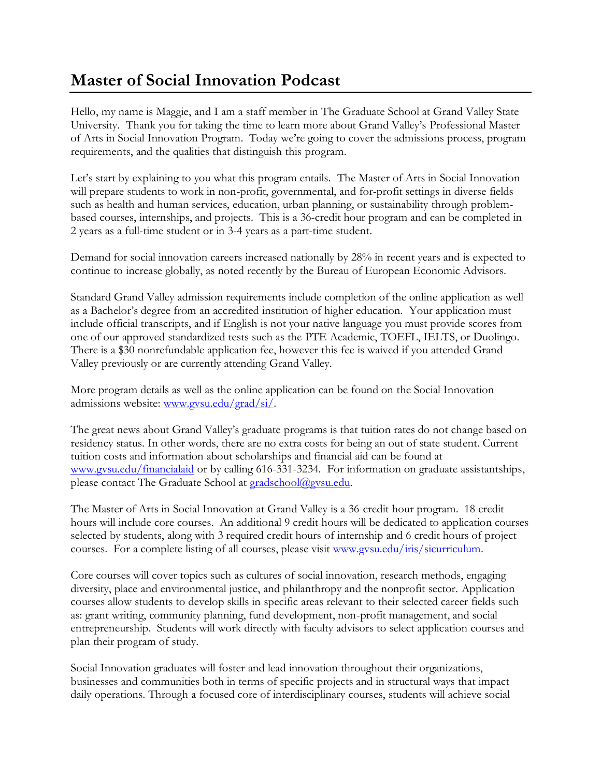## **Master of Social Innovation Podcast**

Hello, my name is Maggie, and I am a staff member in The Graduate School at Grand Valley State University. Thank you for taking the time to learn more about Grand Valley's Professional Master of Arts in Social Innovation Program. Today we're going to cover the admissions process, program requirements, and the qualities that distinguish this program.

Let's start by explaining to you what this program entails. The Master of Arts in Social Innovation will prepare students to work in non-profit, governmental, and for-profit settings in diverse fields such as health and human services, education, urban planning, or sustainability through problembased courses, internships, and projects. This is a 36-credit hour program and can be completed in 2 years as a full-time student or in 3-4 years as a part-time student.

Demand for social innovation careers increased nationally by 28% in recent years and is expected to continue to increase globally, as noted recently by the Bureau of European Economic Advisors.

Standard Grand Valley admission requirements include completion of the online application as well as a Bachelor's degree from an accredited institution of higher education. Your application must include official transcripts, and if English is not your native language you must provide scores from one of our approved standardized tests such as the PTE Academic, TOEFL, IELTS, or Duolingo. There is a \$30 nonrefundable application fee, however this fee is waived if you attended Grand Valley previously or are currently attending Grand Valley.

More program details as well as the online application can be found on the Social Innovation admissions website: [www.gvsu.edu/grad/si/.](http://www.gvsu.edu/grad/si/)

The great news about Grand Valley's graduate programs is that tuition rates do not change based on residency status. In other words, there are no extra costs for being an out of state student. Current tuition costs and information about scholarships and financial aid can be found at [www.gvsu.edu/financialaid](http://www.gvsu.edu/financialaid) or by calling 616-331-3234. For information on graduate assistantships, please contact The Graduate School at [gradschool@gvsu.edu.](mailto:gradschool@gvsu.edu)

The Master of Arts in Social Innovation at Grand Valley is a 36-credit hour program. 18 credit hours will include core courses. An additional 9 credit hours will be dedicated to application courses selected by students, along with 3 required credit hours of internship and 6 credit hours of project courses. For a complete listing of all courses, please visit [www.gvsu.edu/iris/sicurriculum.](http://www.gvsu.edu/iris/sicurriculum)

Core courses will cover topics such as cultures of social innovation, research methods, engaging diversity, place and environmental justice, and philanthropy and the nonprofit sector. Application courses allow students to develop skills in specific areas relevant to their selected career fields such as: grant writing, community planning, fund development, non-profit management, and social entrepreneurship. Students will work directly with faculty advisors to select application courses and plan their program of study.

Social Innovation graduates will foster and lead innovation throughout their organizations, businesses and communities both in terms of specific projects and in structural ways that impact daily operations. Through a focused core of interdisciplinary courses, students will achieve social